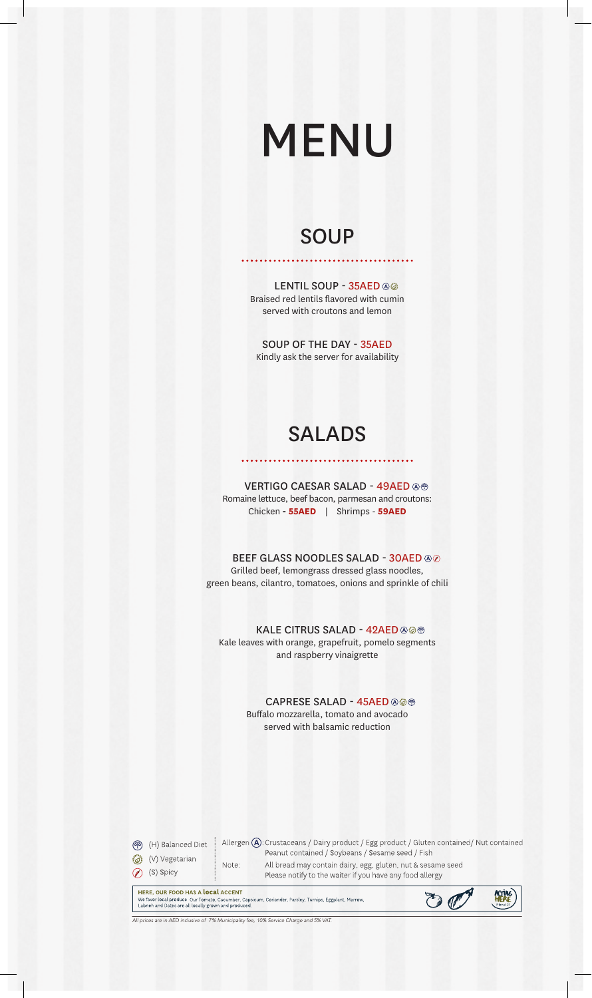# MENU

# **SOUP**

. . . . . . . . .

LENTIL SOUP - 35AED ®® Braised red lentils flavored with cumin served with croutons and lemon

SOUP OF THE DAY - 35AED Kindly ask the server for availability

# SALADS

VERTIGO CAESAR SALAD - 49AED Romaine lettuce, beef bacon, parmesan and croutons: Chicken **- 55AED** | Shrimps - **59AED**

BEEF GLASS NOODLES SALAD - 30AED @@ Grilled beef, lemongrass dressed glass noodles, green beans, cilantro, tomatoes, onions and sprinkle of chili

KALE CITRUS SALAD - 42AED @@

Kale leaves with orange, grapefruit, pomelo segments and raspberry vinaigrette

> CAPRESE SALAD - 45AED + Buffalo mozzarella, tomato and avocado served with balsamic reduction

(円) Balanced Diet (V) Vegetarian ⊙ (S) Spicy

Allergen  $\bigcirc$ : Crustaceans / Dairy product / Egg product / Gluten contained/ Nut contained Peanut contained / Soybeans / Sesame seed / Fish All bread may contain dairy, egg, gluten, nut & sesame seed Note: Please notify to the waiter if you have any food allergy

HERE, OUR FOOD HAS A local ACCENT The New Flood First All Local Counter Capsicum, Coriander, Parsley, Turnips, Eggplant, Marrow,<br>
Ue favor local produce Our Tomato, Cucumber, Capsicum, Coriander, Parsley, Turnips, Eggplant, Marrow,<br>
Labneh and Dates are al



ices are in AED inclusive of 7% Municipality fee, 10% Service Charge and 5% VAT.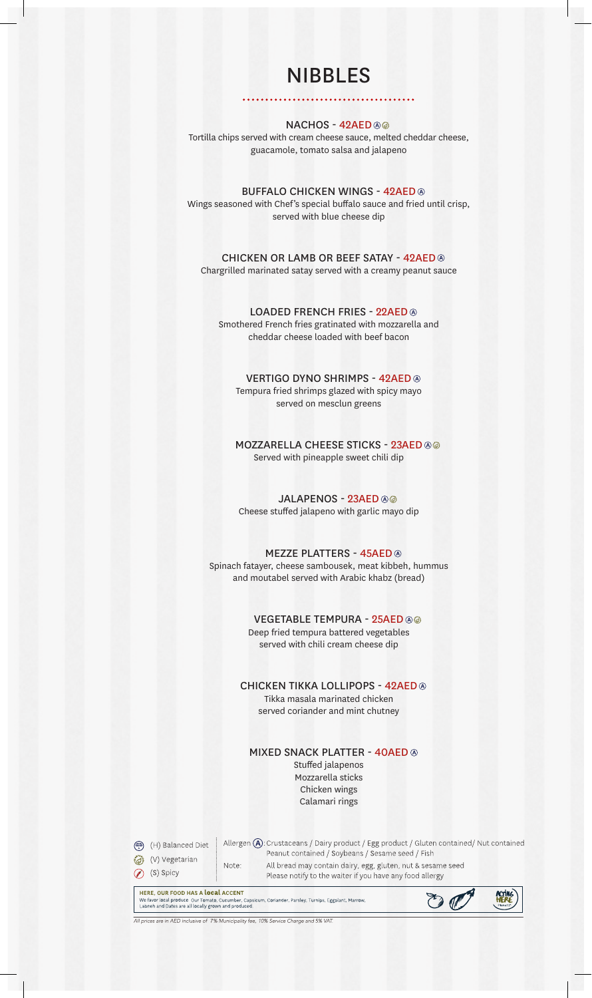# NIBBLES

. . . . . . . .

#### **NACHOS - 42AED ⊛**

. . . . . . .

Tortilla chips served with cream cheese sauce, melted cheddar cheese, guacamole, tomato salsa and jalapeno

BUFFALO CHICKEN WINGS - 42AED Wings seasoned with Chef's special buffalo sauce and fried until crisp, served with blue cheese dip

CHICKEN OR LAMB OR BEEF SATAY - 42AED Chargrilled marinated satay served with a creamy peanut sauce

#### LOADED FRENCH FRIES - 22AED ®

Smothered French fries gratinated with mozzarella and cheddar cheese loaded with beef bacon

#### VERTIGO DYNO SHRIMPS - 42AED

Tempura fried shrimps glazed with spicy mayo served on mesclun greens

MOZZARELLA CHEESE STICKS - 23AED @@ Served with pineapple sweet chili dip

#### JALAPENOS - 23AED ®

Cheese stuffed jalapeno with garlic mayo dip

#### MEZZE PLATTERS - 45AED

Spinach fatayer, cheese sambousek, meat kibbeh, hummus and moutabel served with Arabic khabz (bread)

#### VEGETABLE TEMPURA - 25AED @@

Deep fried tempura battered vegetables served with chili cream cheese dip

#### CHICKEN TIKKA LOLLIPOPS - 42AED Tikka masala marinated chicken

served coriander and mint chutney

#### MIXED SNACK PLATTER - 40AED

Stuffed jalapenos Mozzarella sticks Chicken wings Calamari rings

(円) (H) Balanced Diet (V) Vegetarian ⊙ (S) Spicy

Allergen (A): Crustaceans / Dairy product / Egg product / Gluten contained/ Nut contained Peanut contained / Soybeans / Sesame seed / Fish All bread may contain dairy, egg, gluten, nut & sesame seed Note: Please notify to the waiter if you have any food allergy

HERE, OUR FOOD HAS A local ACCENT **HERE, OUR FOOD HAS A LOCAL ACCENT**<br>We favor local produce Our Tomato, Cucumber, Capsicum, Coriander, Parsley, Turnips, Eggplant, Marrow,<br>Labneh and Dates are all locally grown and produced.



are in AED inclusive of 7% Municipality fee, 10% Service Charge and 5% VAT.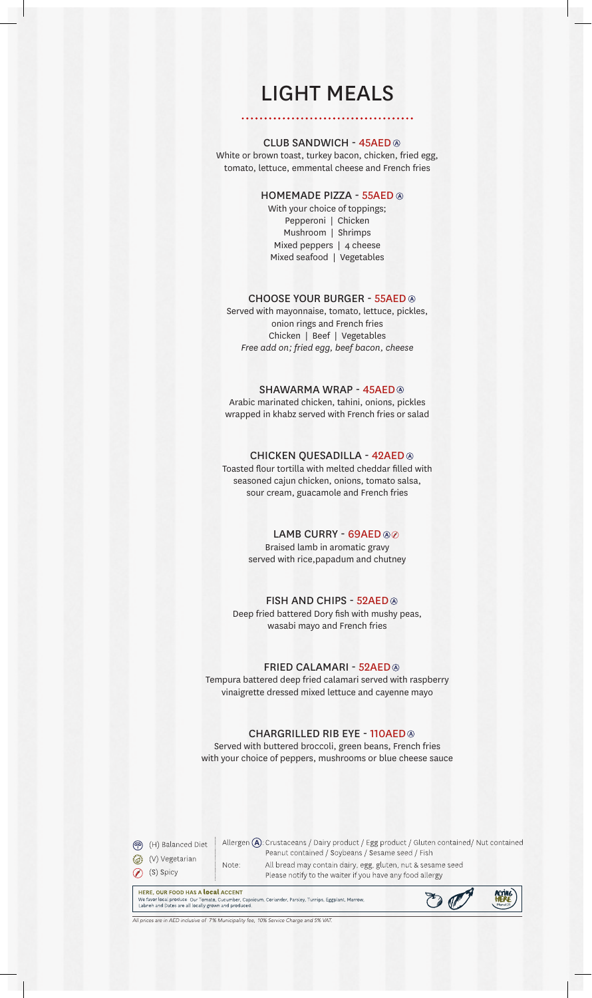# LIGHT MEALS

#### CLUB SANDWICH - 45AED

White or brown toast, turkey bacon, chicken, fried egg, tomato, lettuce, emmental cheese and French fries

#### HOMEMADE PIZZA - 55AED

With your choice of toppings; Pepperoni | Chicken Mushroom | Shrimps Mixed peppers | 4 cheese Mixed seafood | Vegetables

#### CHOOSE YOUR BURGER - 55AED

Served with mayonnaise, tomato, lettuce, pickles, onion rings and French fries Chicken | Beef | Vegetables *Free add on; fried egg, beef bacon, cheese* 

#### SHAWARMA WRAP - 45AED

Arabic marinated chicken, tahini, onions, pickles wrapped in khabz served with French fries or salad

#### CHICKEN QUESADILLA - 42AED

Toasted flour tortilla with melted cheddar filled with seasoned cajun chicken, onions, tomato salsa, sour cream, guacamole and French fries

#### LAMB CURRY - 69AED ®

Braised lamb in aromatic gravy served with rice,papadum and chutney

#### FISH AND CHIPS - 52AED

Deep fried battered Dory fish with mushy peas, wasabi mayo and French fries

#### FRIED CALAMARI - 52AED

Tempura battered deep fried calamari served with raspberry vinaigrette dressed mixed lettuce and cayenne mayo

#### CHARGRILLED RIB EYE - 110AED

Served with buttered broccoli, green beans, French fries with your choice of peppers, mushrooms or blue cheese sauce

(円) Balanced Diet (V) Vegetarian ⊙ (S) Spicy

Allergen (A): Crustaceans / Dairy product / Egg product / Gluten contained/ Nut contained Peanut contained / Soybeans / Sesame seed / Fish All bread may contain dairy, egg, gluten, nut & sesame seed Note: Please notify to the waiter if you have any food allergy

HERE, OUR FOOD HAS A local ACCENT HERE, OUR FOOD HAS A LOCAL ACCENT<br>We favor local produce Our Tomato, Cucumber, Capsicum, Coriander, Parsley, Turnips, Eggplant, Marrow,<br>Labneh and Dates are all locally grown and produced.



ices are in AED inclusive of 7% Municipality fee, 10% Service Charge and 5% VAT.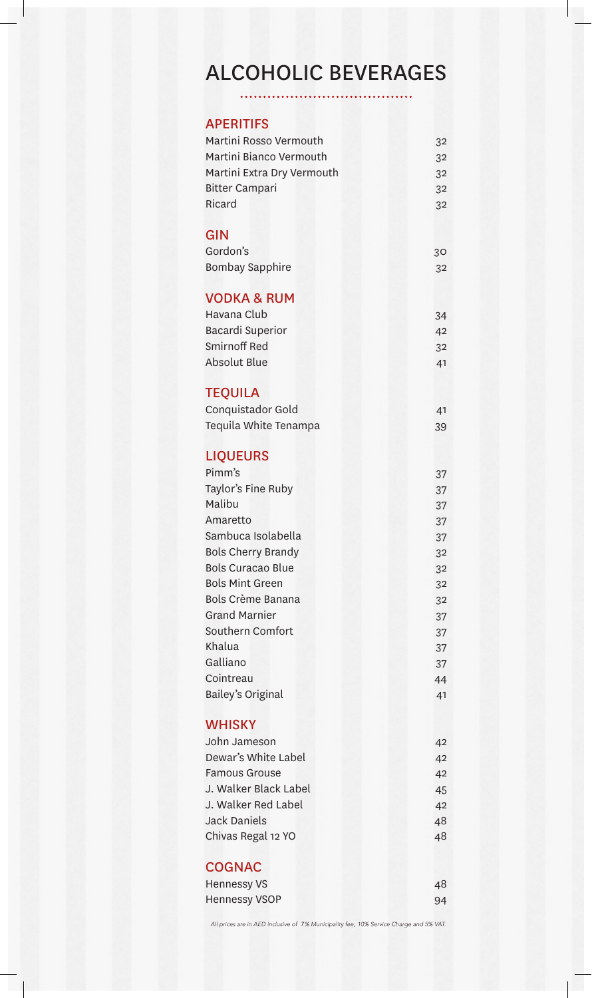# ALCOHOLIC BEVERAGES

. . . . . . . . . . . .  $\ddot{\phantom{0}}$ 

| <b>APERITIFS</b> |  |
|------------------|--|
|                  |  |

| Martini Rosso Vermouth<br>Martini Bianco Vermouth<br>Martini Extra Dry Vermouth | 32<br>32 |
|---------------------------------------------------------------------------------|----------|
|                                                                                 | 32       |
| <b>Bitter Campari</b><br>Ricard                                                 | 32       |
|                                                                                 | 32       |
| <b>GIN</b><br>Gordon's                                                          | 30       |
| <b>Bombay Sapphire</b>                                                          | 32       |
| <b>VODKA &amp; RUM</b><br>Havana Club                                           | 34       |
| <b>Bacardi Superior</b>                                                         | 42       |
| Smirnoff Red                                                                    | 32       |
| <b>Absolut Blue</b>                                                             | 41       |
|                                                                                 |          |
| <b>TEQUILA</b><br>Conquistador Gold                                             | 41       |
| Tequila White Tenampa                                                           | 39       |
|                                                                                 |          |
| <b>LIQUEURS</b>                                                                 |          |
| Pimm's                                                                          | 37       |
| Taylor's Fine Ruby                                                              | 37       |
| Malibu                                                                          | 37       |
| Amaretto                                                                        | 37       |
| Sambuca Isolabella                                                              | 37       |
| <b>Bols Cherry Brandy</b>                                                       | 32       |
| <b>Bols Curacao Blue</b>                                                        | 32       |
| <b>Bols Mint Green</b>                                                          | 32       |
| Bols Crème Banana                                                               | 32       |
| <b>Grand Marnier</b>                                                            | 37       |
| Southern Comfort                                                                | 37       |
| Khalua                                                                          | 37       |
| Galliano                                                                        | 37       |
| Cointreau                                                                       | 44       |
| Bailey's Original                                                               | 41       |
| <b>WHISKY</b>                                                                   |          |
| John Jameson                                                                    | 42       |
| Dewar's White Label                                                             | 42       |
| <b>Famous Grouse</b>                                                            | 42       |
| J. Walker Black Label                                                           | 45       |
| J. Walker Red Label                                                             | 42       |
| <b>Jack Daniels</b>                                                             | 48       |
| Chivas Regal 12 YO                                                              | 48       |
| <b>COGNAC</b>                                                                   |          |
| <b>Hennessy VS</b>                                                              | 48       |
| <b>Hennessy VSOP</b>                                                            | 94       |
|                                                                                 |          |

All prices are in AED inclusive of 7% Municipality fee, 10% Service Charge and 5% VAT.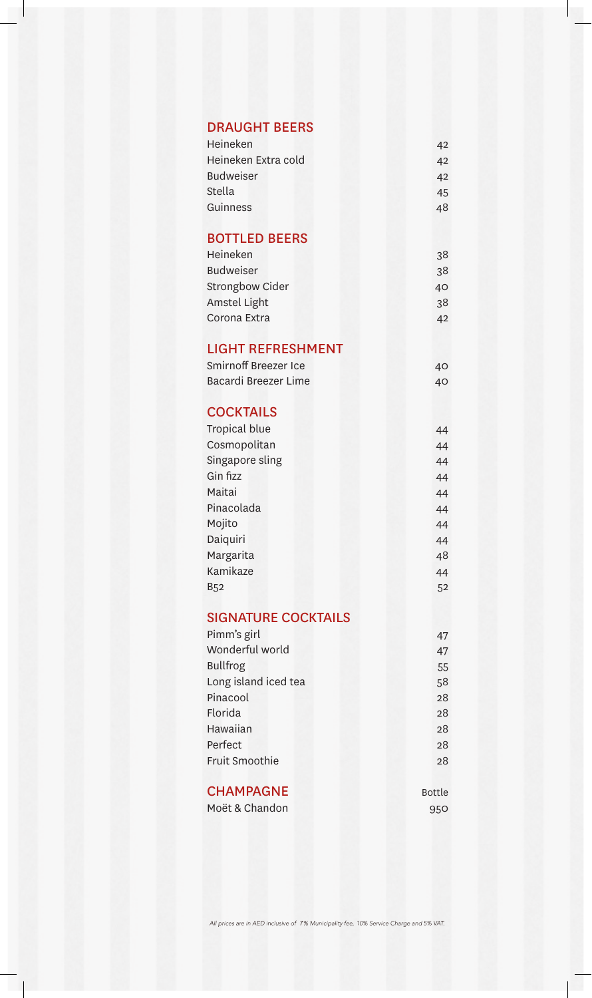### DRAUGHT BEERS

| Heineken            | 42 |
|---------------------|----|
| Heineken Extra cold | 42 |
| Budweiser           | 42 |
| Stella              | 45 |
| Guinness            | 48 |
|                     |    |

### BOTTLED BEERS

| Heineken         | 38 |
|------------------|----|
| <b>Budweiser</b> | 38 |
| Strongbow Cider  | 40 |
| Amstel Light     | 38 |
| Corona Extra     | 42 |

### LIGHT REFRESHMENT

| Smirnoff Breezer Ice | 40 |
|----------------------|----|
| Bacardi Breezer Lime | 40 |

## **COCKTAILS**

| Tropical blue   | 44 |
|-----------------|----|
| Cosmopolitan    | 44 |
| Singapore sling | 44 |
| Gin fizz        | 44 |
| Maitai          | 44 |
| Pinacolada      | 44 |
| Mojito          | 44 |
| Daiquiri        | 44 |
| Margarita       | 48 |
| Kamikaze        | 44 |
| <b>B52</b>      | 52 |

#### SIGNATURE COCKTAILS Pimm's girl

| Pimm's girl          | 47 |
|----------------------|----|
| Wonderful world      | 47 |
| <b>Bullfrog</b>      | 55 |
| Long island iced tea | 58 |
| Pinacool             | 28 |
| Florida              | 28 |
| Hawaiian             | 28 |
| Perfect              | 28 |
| Fruit Smoothie       | 28 |
|                      |    |

Bottle 950

# **CHAMPAGNE**

Moët & Chandon